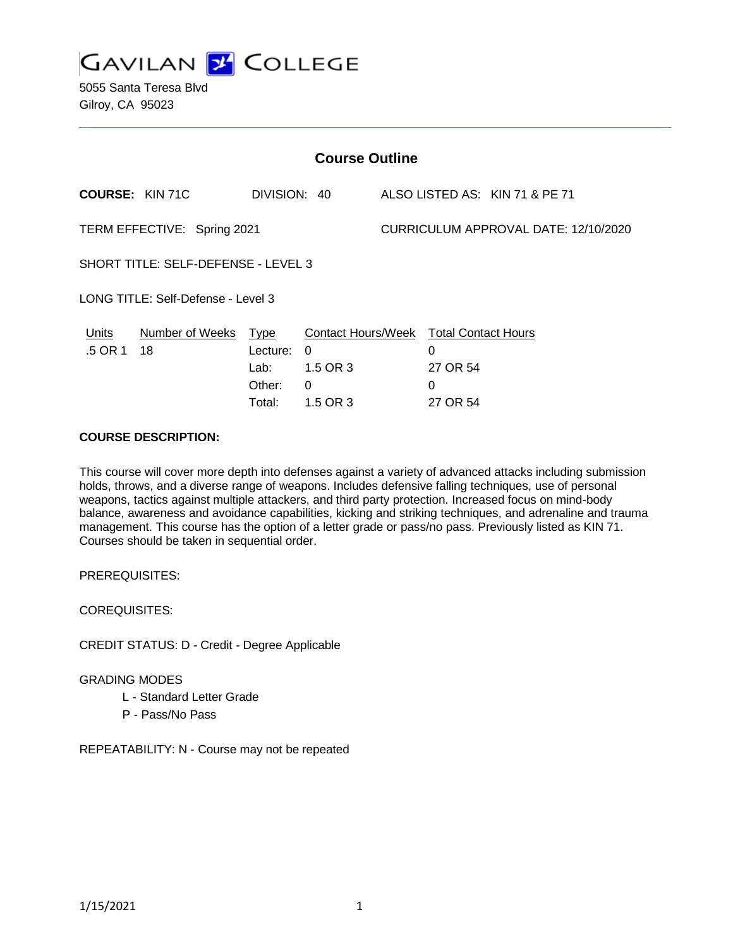

5055 Santa Teresa Blvd Gilroy, CA 95023

| <b>Course Outline</b>                      |                        |                                           |                                                                                   |                                      |                    |                                |
|--------------------------------------------|------------------------|-------------------------------------------|-----------------------------------------------------------------------------------|--------------------------------------|--------------------|--------------------------------|
|                                            | <b>COURSE: KIN 71C</b> | DIVISION: 40                              |                                                                                   |                                      |                    | ALSO LISTED AS: KIN 71 & PE 71 |
| TERM EFFECTIVE: Spring 2021                |                        |                                           |                                                                                   | CURRICULUM APPROVAL DATE: 12/10/2020 |                    |                                |
| <b>SHORT TITLE: SELF-DEFENSE - LEVEL 3</b> |                        |                                           |                                                                                   |                                      |                    |                                |
| LONG TITLE: Self-Defense - Level 3         |                        |                                           |                                                                                   |                                      |                    |                                |
| <b>Units</b><br>.5 OR 1                    | Number of Weeks<br>18  | <u>Type</u><br>Lecture:<br>Lab:<br>Other: | <b>Contact Hours/Week Total Contact Hours</b><br>$\Omega$<br>1.5 OR 3<br>$\Omega$ |                                      | 0<br>27 OR 54<br>0 |                                |
|                                            |                        | Total:                                    | 1.5 OR 3                                                                          |                                      | 27 OR 54           |                                |

#### **COURSE DESCRIPTION:**

This course will cover more depth into defenses against a variety of advanced attacks including submission holds, throws, and a diverse range of weapons. Includes defensive falling techniques, use of personal weapons, tactics against multiple attackers, and third party protection. Increased focus on mind-body balance, awareness and avoidance capabilities, kicking and striking techniques, and adrenaline and trauma management. This course has the option of a letter grade or pass/no pass. Previously listed as KIN 71. Courses should be taken in sequential order.

PREREQUISITES:

COREQUISITES:

CREDIT STATUS: D - Credit - Degree Applicable

#### GRADING MODES

- L Standard Letter Grade
- P Pass/No Pass

REPEATABILITY: N - Course may not be repeated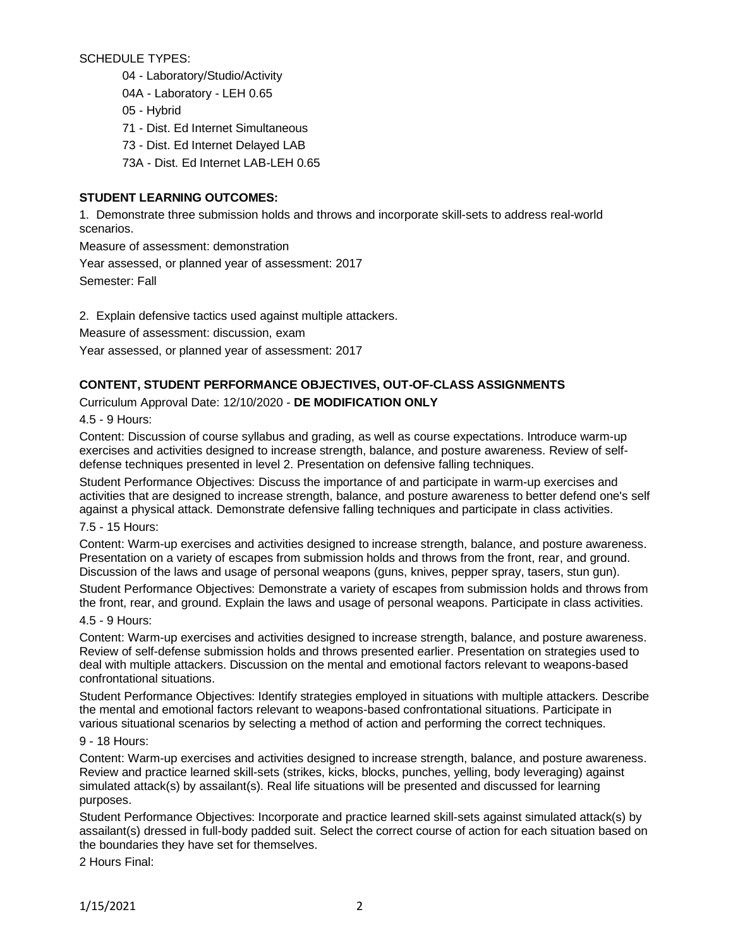SCHEDULE TYPES:

04 - Laboratory/Studio/Activity

04A - Laboratory - LEH 0.65

05 - Hybrid

71 - Dist. Ed Internet Simultaneous

73 - Dist. Ed Internet Delayed LAB

73A - Dist. Ed Internet LAB-LEH 0.65

# **STUDENT LEARNING OUTCOMES:**

1. Demonstrate three submission holds and throws and incorporate skill-sets to address real-world scenarios.

Measure of assessment: demonstration

Year assessed, or planned year of assessment: 2017

Semester: Fall

2. Explain defensive tactics used against multiple attackers.

Measure of assessment: discussion, exam

Year assessed, or planned year of assessment: 2017

### **CONTENT, STUDENT PERFORMANCE OBJECTIVES, OUT-OF-CLASS ASSIGNMENTS**

Curriculum Approval Date: 12/10/2020 - **DE MODIFICATION ONLY**

4.5 - 9 Hours:

Content: Discussion of course syllabus and grading, as well as course expectations. Introduce warm-up exercises and activities designed to increase strength, balance, and posture awareness. Review of selfdefense techniques presented in level 2. Presentation on defensive falling techniques.

Student Performance Objectives: Discuss the importance of and participate in warm-up exercises and activities that are designed to increase strength, balance, and posture awareness to better defend one's self against a physical attack. Demonstrate defensive falling techniques and participate in class activities.

7.5 - 15 Hours:

Content: Warm-up exercises and activities designed to increase strength, balance, and posture awareness. Presentation on a variety of escapes from submission holds and throws from the front, rear, and ground. Discussion of the laws and usage of personal weapons (guns, knives, pepper spray, tasers, stun gun).

Student Performance Objectives: Demonstrate a variety of escapes from submission holds and throws from the front, rear, and ground. Explain the laws and usage of personal weapons. Participate in class activities.

4.5 - 9 Hours:

Content: Warm-up exercises and activities designed to increase strength, balance, and posture awareness. Review of self-defense submission holds and throws presented earlier. Presentation on strategies used to deal with multiple attackers. Discussion on the mental and emotional factors relevant to weapons-based confrontational situations.

Student Performance Objectives: Identify strategies employed in situations with multiple attackers. Describe the mental and emotional factors relevant to weapons-based confrontational situations. Participate in various situational scenarios by selecting a method of action and performing the correct techniques.

9 - 18 Hours:

Content: Warm-up exercises and activities designed to increase strength, balance, and posture awareness. Review and practice learned skill-sets (strikes, kicks, blocks, punches, yelling, body leveraging) against simulated attack(s) by assailant(s). Real life situations will be presented and discussed for learning purposes.

Student Performance Objectives: Incorporate and practice learned skill-sets against simulated attack(s) by assailant(s) dressed in full-body padded suit. Select the correct course of action for each situation based on the boundaries they have set for themselves.

2 Hours Final: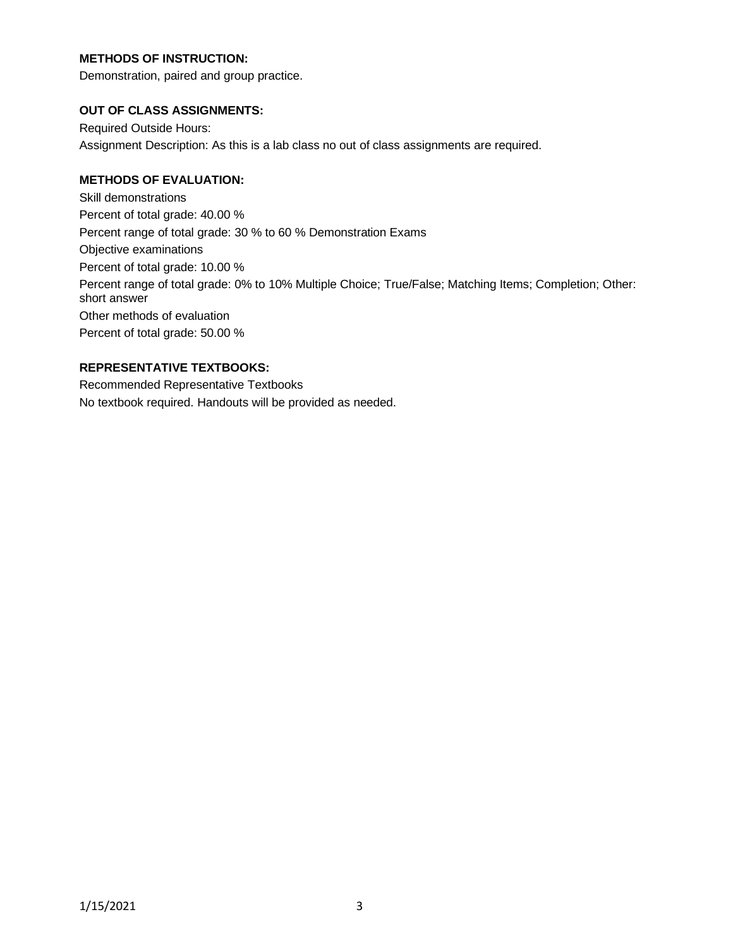# **METHODS OF INSTRUCTION:**

Demonstration, paired and group practice.

### **OUT OF CLASS ASSIGNMENTS:**

Required Outside Hours: Assignment Description: As this is a lab class no out of class assignments are required.

# **METHODS OF EVALUATION:**

Skill demonstrations Percent of total grade: 40.00 % Percent range of total grade: 30 % to 60 % Demonstration Exams Objective examinations Percent of total grade: 10.00 % Percent range of total grade: 0% to 10% Multiple Choice; True/False; Matching Items; Completion; Other: short answer Other methods of evaluation Percent of total grade: 50.00 %

# **REPRESENTATIVE TEXTBOOKS:**

Recommended Representative Textbooks No textbook required. Handouts will be provided as needed.